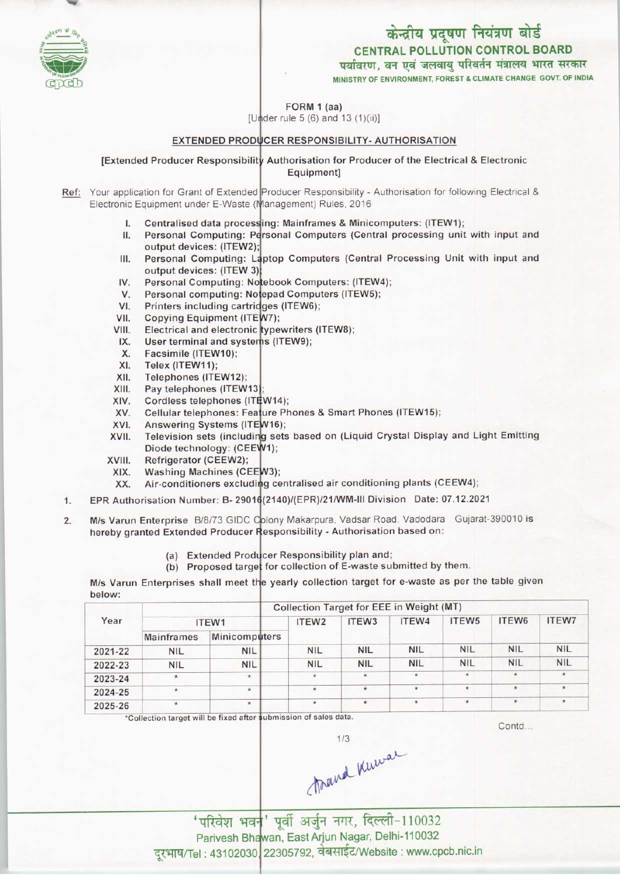# केन्द्रीय प्रदूषण नियंत्रण बोर्ड **CENTRAL POLLUTION CONTROL BOARD**

पर्यावरण, वन एवं जलवाय परिवर्तन मंत्रालय भारत सरकार

MINISTRY OF ENVIRONMENT, FOREST & CLIMATE CHANGE GOVT. OF INDIA

FORM 1 (aa)

[Under rule 5 (6) and 13 (1)(ii)]

### EXTENDED PRODUCER RESPONSIBILITY- AUTHORISATION

### [Extended Producer Responsibility Authorisation for Producer of the Electrical & Electronic Equipment]

Ref: Your application for Grant of Extended Producer Responsibility - Authorisation for following Electrical & Electronic Equipment under E-Waste (Management) Rules, 2016

- I. Centralised data processing: Mainframes & Minicomputers: (ITEW1);
- Personal Computing: Personal Computers (Central processing unit with input and II. output devices: (ITEW2);
- Personal Computing: Laptop Computers (Central Processing Unit with input and III. output devices: (ITEW 3)
- Personal Computing: Notebook Computers: (ITEW4); IV.
- V. Personal computing: Notepad Computers (ITEW5);
- $VI.$ Printers including cartridges (ITEW6);
- VII. Copying Equipment (ITEW7);
- Electrical and electronic typewriters (ITEW8); VIII.
- $IX.$ User terminal and systems (ITEW9);
- **X.** Facsimile (ITEW10);
- XI. Telex (ITEW11);
- XII. Telephones (ITEW12);
- XIII. Pay telephones (ITEW13);
- XIV. Cordless telephones (ITEW14);
- Cellular telephones: Feature Phones & Smart Phones (ITEW15); XV.
- XVI. Answering Systems (ITEW16);
- Television sets (including sets based on (Liquid Crystal Display and Light Emitting XVII. Diode technology: (CEEW1);
- XVIII. Refrigerator (CEEW2);
- Washing Machines (CEEW3); XIX.
- Air-conditioners excluding centralised air conditioning plants (CEEW4); XX.
- EPR Authorisation Number: B-29016(2140)/(EPR)/21/WM-III Division Date: 07.12.2021  $1.$
- M/s Varun Enterprise B/8/73 GIDC Oplony Makarpura, Vadsar Road, Vadodara Gujarat-390010 is  $\overline{2}$ . hereby granted Extended Producer Responsibility - Authorisation based on:
	- (a) Extended Producer Responsibility plan and;
	- (b) Proposed target for collection of E-waste submitted by them.

M/s Varun Enterprises shall meet the yearly collection target for e-waste as per the table given helow:

|         |                   |                      | Collection Target for EEE in Weight (MT) |                   |             |                   |               |              |  |  |
|---------|-------------------|----------------------|------------------------------------------|-------------------|-------------|-------------------|---------------|--------------|--|--|
| Year    |                   | ITEW1                | ITEW <sub>2</sub>                        | ITEW <sub>3</sub> | ITEW4       | ITEW <sub>5</sub> | ITEW6         | <b>ITEW7</b> |  |  |
|         | <b>Mainframes</b> | <b>Minicomputers</b> |                                          |                   |             |                   |               |              |  |  |
| 2021-22 | <b>NIL</b>        | <b>NIL</b>           | <b>NIL</b>                               | <b>NIL</b>        | <b>NIL</b>  | <b>NIL</b>        | <b>NIL</b>    | <b>NIL</b>   |  |  |
| 2022-23 | <b>NIL</b>        | <b>NIL</b>           | <b>NIL</b>                               | <b>NIL</b>        | <b>NIL</b>  | <b>NIL</b>        | <b>NIL</b>    | <b>NIL</b>   |  |  |
| 2023-24 | $\star$           | $\star$              | $\star$                                  | $\star$           | $\star$     |                   | $\star$       |              |  |  |
| 2024-25 | $\star$           | $\star$              | $\star$<br>$\sim$                        | $\star$           | $\pmb{\pi}$ | $\star$           | ×             | $\star$      |  |  |
| 2025-26 | $\star$           | $\star$              | $\star$                                  | $\mathcal{H}$     | $\star$     | *                 | $\mathcal{H}$ | $\star$      |  |  |

\*Collection target will be fixed after submission of sales data.

Contd...

trand kniwar

'परिवेश भवन' पूर्वी अर्जुन नगर, दिल्ली-110032 Parivesh Bhawan, East Arjun Nagar, Delhi-110032 दूरभाष/Tel: 43102030, 22305792, वेबसाईट/Website: www.cpcb.nic.in

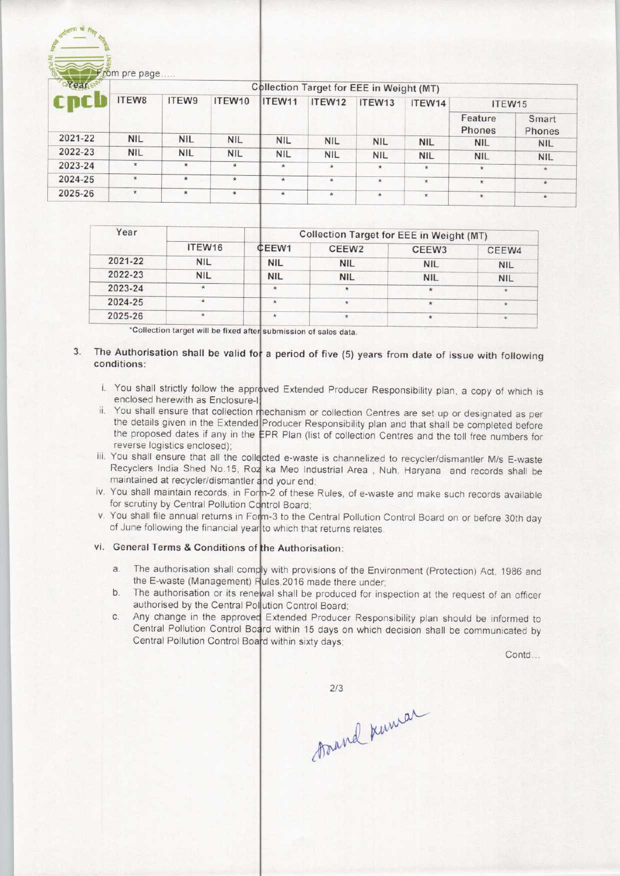| ovear   | <b>Collection Target for EEE in Weight (MT)</b> |            |                    |            |            |            |            |                   |                 |
|---------|-------------------------------------------------|------------|--------------------|------------|------------|------------|------------|-------------------|-----------------|
|         | ITEW8                                           | ITEW9      | ITEW10             | ITEW11     | ITEW12     | ITEW13     | ITEW14     | ITEW15            |                 |
|         |                                                 |            |                    |            |            |            |            | Feature<br>Phones | Smart<br>Phones |
| 2021-22 | <b>NIL</b>                                      | <b>NIL</b> | <b>NIL</b>         | <b>NIL</b> | <b>NIL</b> | <b>NIL</b> | <b>NIL</b> | <b>NIL</b>        | <b>NIL</b>      |
| 2022-23 | <b>NIL</b>                                      | <b>NIL</b> | <b>NIL</b>         | <b>NIL</b> | <b>NIL</b> | <b>NIL</b> | <b>NIL</b> | <b>NIL</b>        | <b>NIL</b>      |
| 2023-24 | $\star$                                         | $\star$    | $\hat{\mathbf{x}}$ | $\star$    | $\star$    | $\star$    | $\star$    | *                 | $\star$         |
| 2024-25 | $\star$                                         | $\star$    | $\star$            | $\star$    | $\star$    | $^\star$   | $\star$    | $\star$           | $\star$         |
| 2025-26 | $\star$                                         | $\star$    | $\star$            | $\star$    | $\star$    | $\star$    | $\star$    | $\star$           | $\star$         |

| Year                               |            | Collection Target for EEE in Weight (MT) |                   |            |            |  |  |
|------------------------------------|------------|------------------------------------------|-------------------|------------|------------|--|--|
|                                    | ITEW16     | CEEW1                                    | CEEW <sub>2</sub> | CEEW3      | CEEW4      |  |  |
| 2021-22                            | <b>NIL</b> | <b>NIL</b>                               | <b>NIL</b>        | <b>NIL</b> | <b>NIL</b> |  |  |
| 2022-23                            | <b>NIL</b> | <b>NIL</b>                               | <b>NIL</b>        | <b>NIL</b> | <b>NIL</b> |  |  |
| 2023-24                            | $\star$    | $\star$                                  |                   |            | $\star$    |  |  |
| 2024-25                            | ۰          | $\star$                                  | ۰                 |            |            |  |  |
| 2025-26                            | $\star$    |                                          |                   |            | *          |  |  |
| the same to say the control of the |            |                                          |                   |            |            |  |  |

\*Collection target will be fixed after submission of sales data

# 3. The Authorisation shall be valid for a period of five (5) years from date of issue with following

- i. You shall strictly follow the approved Extended Producer Responsibility plan, a copy of which is enclosed herewith as Enclosure-I:
- ii. You shall ensure that collection mechanism or collection Centres are set up or designated as per the details given in the Extended Producer Responsibility plan and that shall be completed before the proposed dates if any in the EPR Plan (list of collection Centres and the toll free numbers for reverse logistics enclosed);
- iii. You shall ensure that all the collected e-waste is channelized to recycler/dismantler M/s E-waste wa shall ensure that all the collected e-waste is charinelized to recycler/dismantier M/s E-waste<br>Recyclers India Shed No.15, Roz ka Meo Industrial Area, Nuh, Haryana and records shall be maintained at recycler/dismantler and your end
- iv. You shall maintain records, in Form-2 of these Rules, of e-waste and make such records available for scrutiny by Central Pollution Control Board;
- v. You shall file annual returns in Form-3 to the Central Pollution Control Board on or before 30th day of June following the financial year to which that returns relates.

## vi. General Terms & Conditions of the Authorisation:

- General Terms & Conditions of the Authorisation:<br>a. The authorisation shall comply with provisions of the Environment (Protection) Act. 1986 and the E-waste (Management) Rules, 2016 made there under the E-waste (Management) Rules, 2016 made there under;<br>b. The authorisation or its renewal shall be produced for inspection at the request of an officer
- authorised by the Central Pollution Control Board; External Politicians Control Board<br>
Extended Producer Responsibility plan should be informed to<br>
Control Politician Control Board within 45 decree in the approved Extended Producer Responsibility plan should be informed to
- Central Pollution Control Board within 15 days on which decision shall be communicated by Central Pollution Control Board within sixty days

Contd...

 $2/3$ 

trand kniwar